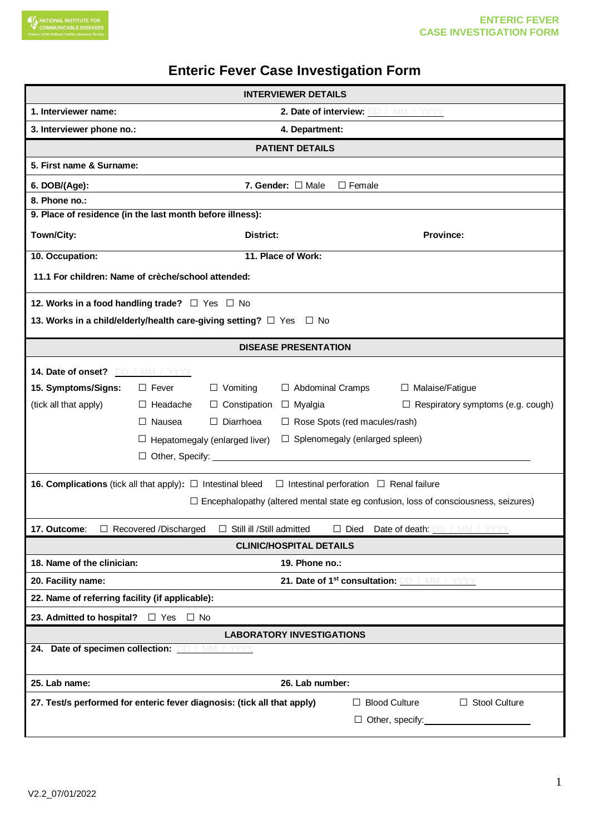## **Enteric Fever Case Investigation Form**

| <b>INTERVIEWER DETAILS</b>                                |                                                                                                                               |  |  |  |  |  |  |  |  |
|-----------------------------------------------------------|-------------------------------------------------------------------------------------------------------------------------------|--|--|--|--|--|--|--|--|
| 1. Interviewer name:                                      | 2. Date of interview: DD / MM / YYYY                                                                                          |  |  |  |  |  |  |  |  |
| 3. Interviewer phone no.:                                 | 4. Department:                                                                                                                |  |  |  |  |  |  |  |  |
|                                                           | <b>PATIENT DETAILS</b>                                                                                                        |  |  |  |  |  |  |  |  |
|                                                           | 5. First name & Surname:                                                                                                      |  |  |  |  |  |  |  |  |
| 6. DOB/(Age):                                             | 7. Gender: $\Box$ Male<br>$\Box$ Female                                                                                       |  |  |  |  |  |  |  |  |
| 8. Phone no.:                                             |                                                                                                                               |  |  |  |  |  |  |  |  |
| 9. Place of residence (in the last month before illness): |                                                                                                                               |  |  |  |  |  |  |  |  |
| Town/City:                                                | District:<br>Province:                                                                                                        |  |  |  |  |  |  |  |  |
| 10. Occupation:                                           | 11. Place of Work:                                                                                                            |  |  |  |  |  |  |  |  |
|                                                           | 11.1 For children: Name of crèche/school attended:                                                                            |  |  |  |  |  |  |  |  |
|                                                           | 12. Works in a food handling trade? $\Box$ Yes $\Box$ No                                                                      |  |  |  |  |  |  |  |  |
|                                                           | 13. Works in a child/elderly/health care-giving setting? □ Yes □ No                                                           |  |  |  |  |  |  |  |  |
|                                                           | <b>DISEASE PRESENTATION</b>                                                                                                   |  |  |  |  |  |  |  |  |
| 14. Date of onset? DD / MM / YYYY                         |                                                                                                                               |  |  |  |  |  |  |  |  |
| 15. Symptoms/Signs:                                       | $\Box$ Fever<br>$\Box$ Vomiting<br>$\Box$ Abdominal Cramps<br>$\Box$ Malaise/Fatigue                                          |  |  |  |  |  |  |  |  |
| (tick all that apply)                                     | $\Box$ Headache<br>$\Box$ Constipation<br>$\Box$ Myalgia<br>$\Box$ Respiratory symptoms (e.g. cough)                          |  |  |  |  |  |  |  |  |
|                                                           | $\Box$ Nausea<br>$\Box$ Diarrhoea<br>$\Box$ Rose Spots (red macules/rash)                                                     |  |  |  |  |  |  |  |  |
|                                                           | $\Box$ Splenomegaly (enlarged spleen)<br>$\Box$ Hepatomegaly (enlarged liver)                                                 |  |  |  |  |  |  |  |  |
|                                                           | $\Box$ Other, Specify: $\Box$                                                                                                 |  |  |  |  |  |  |  |  |
|                                                           | <b>16. Complications</b> (tick all that apply): $\Box$ Intestinal bleed<br>$\Box$ Intestinal perforation $\Box$ Renal failure |  |  |  |  |  |  |  |  |
|                                                           | $\Box$ Encephalopathy (altered mental state eg confusion, loss of consciousness, seizures)                                    |  |  |  |  |  |  |  |  |
|                                                           |                                                                                                                               |  |  |  |  |  |  |  |  |
| 17. Outcome:                                              | □ Recovered /Discharged □ Still ill /Still admitted □ Died Date of death: DD / MM                                             |  |  |  |  |  |  |  |  |
|                                                           | <b>CLINIC/HOSPITAL DETAILS</b>                                                                                                |  |  |  |  |  |  |  |  |
| 18. Name of the clinician:<br>20. Facility name:          | 19. Phone no.:<br>21. Date of 1 <sup>st</sup> consultation: <b>DD</b> / MM / YYYYY                                            |  |  |  |  |  |  |  |  |
| 22. Name of referring facility (if applicable):           |                                                                                                                               |  |  |  |  |  |  |  |  |
| 23. Admitted to hospital? $\Box$ Yes $\Box$ No            |                                                                                                                               |  |  |  |  |  |  |  |  |
|                                                           | <b>LABORATORY INVESTIGATIONS</b>                                                                                              |  |  |  |  |  |  |  |  |
| 24. Date of specimen collection: DD / MM / YYYYY          |                                                                                                                               |  |  |  |  |  |  |  |  |
| 25. Lab name:                                             | 26. Lab number:                                                                                                               |  |  |  |  |  |  |  |  |
|                                                           | 27. Test/s performed for enteric fever diagnosis: (tick all that apply)<br>$\Box$ Blood Culture<br>$\Box$ Stool Culture       |  |  |  |  |  |  |  |  |
|                                                           | $\Box$ Other, specify: $\Box$                                                                                                 |  |  |  |  |  |  |  |  |
|                                                           |                                                                                                                               |  |  |  |  |  |  |  |  |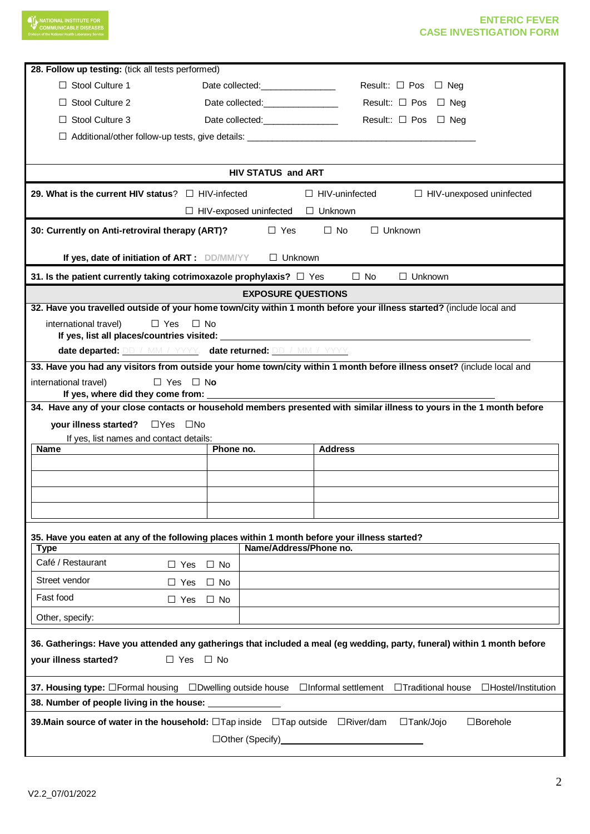| <b>NATIONAL INSTITUTE FOR</b><br><b>MMUNICABLE DISEASES</b>                                                                                            |                                 | <b>ENTERIC FEVER</b><br><b>CASE INVESTIGATION FORM</b>                                                                   |  |  |  |  |  |  |  |
|--------------------------------------------------------------------------------------------------------------------------------------------------------|---------------------------------|--------------------------------------------------------------------------------------------------------------------------|--|--|--|--|--|--|--|
| 28. Follow up testing: (tick all tests performed)                                                                                                      |                                 |                                                                                                                          |  |  |  |  |  |  |  |
| $\Box$ Stool Culture 1                                                                                                                                 | Date collected:________________ | Result:: $\Box$ Pos $\Box$ Neg                                                                                           |  |  |  |  |  |  |  |
| Stool Culture 2                                                                                                                                        |                                 | Result:: $\Box$ Pos<br>$\Box$ Neg                                                                                        |  |  |  |  |  |  |  |
| Stool Culture 3                                                                                                                                        | Date collected:<br><u> </u>     | Result:: $\Box$ Pos<br>□ Nea                                                                                             |  |  |  |  |  |  |  |
|                                                                                                                                                        |                                 |                                                                                                                          |  |  |  |  |  |  |  |
| Additional/other follow-up tests, give details: ________________________________                                                                       |                                 |                                                                                                                          |  |  |  |  |  |  |  |
| <b>HIV STATUS and ART</b>                                                                                                                              |                                 |                                                                                                                          |  |  |  |  |  |  |  |
| 29. What is the current HIV status? $\Box$ HIV-infected                                                                                                |                                 | $\Box$ HIV-uninfected<br>$\Box$ HIV-unexposed uninfected                                                                 |  |  |  |  |  |  |  |
|                                                                                                                                                        | $\Box$ HIV-exposed uninfected   | $\Box$ Unknown                                                                                                           |  |  |  |  |  |  |  |
| 30: Currently on Anti-retroviral therapy (ART)?                                                                                                        | $\Box$ Yes                      | $\Box$ Unknown<br>$\Box$ No                                                                                              |  |  |  |  |  |  |  |
| If yes, date of initiation of ART: DD/MM/YY                                                                                                            | $\Box$ Unknown                  |                                                                                                                          |  |  |  |  |  |  |  |
| 31. Is the patient currently taking cotrimoxazole prophylaxis? $\Box$ Yes                                                                              |                                 | $\Box$ Unknown<br>$\Box$ No                                                                                              |  |  |  |  |  |  |  |
|                                                                                                                                                        | <b>EXPOSURE QUESTIONS</b>       |                                                                                                                          |  |  |  |  |  |  |  |
|                                                                                                                                                        |                                 | 32. Have you travelled outside of your home town/city within 1 month before your illness started? (include local and     |  |  |  |  |  |  |  |
| international travel)<br>$\Box$ Yes<br>If yes, list all places/countries visited:                                                                      | $\Box$ No                       |                                                                                                                          |  |  |  |  |  |  |  |
| date departed: DD / MM / YYYY date returned: DD / MM / YYYY                                                                                            |                                 |                                                                                                                          |  |  |  |  |  |  |  |
|                                                                                                                                                        |                                 | 33. Have you had any visitors from outside your home town/city within 1 month before illness onset? (include local and   |  |  |  |  |  |  |  |
| international travel)<br>$\Box$ Yes                                                                                                                    | $\Box$ No                       |                                                                                                                          |  |  |  |  |  |  |  |
| If yes, where did they come from:                                                                                                                      |                                 | 34. Have any of your close contacts or household members presented with similar illness to yours in the 1 month before   |  |  |  |  |  |  |  |
|                                                                                                                                                        |                                 |                                                                                                                          |  |  |  |  |  |  |  |
| your illness started?<br>$\Box Y$ es<br>∐No<br>If yes, list names and contact details:                                                                 |                                 |                                                                                                                          |  |  |  |  |  |  |  |
| <b>Name</b>                                                                                                                                            | Phone no.                       | <b>Address</b>                                                                                                           |  |  |  |  |  |  |  |
|                                                                                                                                                        |                                 |                                                                                                                          |  |  |  |  |  |  |  |
|                                                                                                                                                        |                                 |                                                                                                                          |  |  |  |  |  |  |  |
|                                                                                                                                                        |                                 |                                                                                                                          |  |  |  |  |  |  |  |
|                                                                                                                                                        |                                 |                                                                                                                          |  |  |  |  |  |  |  |
| 35. Have you eaten at any of the following places within 1 month before your illness started?                                                          |                                 |                                                                                                                          |  |  |  |  |  |  |  |
| Type                                                                                                                                                   | Name/Address/Phone no.          |                                                                                                                          |  |  |  |  |  |  |  |
| Café / Restaurant<br>$\Box$ Yes                                                                                                                        | $\Box$ No                       |                                                                                                                          |  |  |  |  |  |  |  |
| Street vendor<br>$\Box$ Yes                                                                                                                            | $\Box$ No                       |                                                                                                                          |  |  |  |  |  |  |  |
| Fast food<br>$\Box$ Yes                                                                                                                                | ⊟ No                            |                                                                                                                          |  |  |  |  |  |  |  |
| Other, specify:                                                                                                                                        |                                 |                                                                                                                          |  |  |  |  |  |  |  |
|                                                                                                                                                        |                                 | 36. Gatherings: Have you attended any gatherings that included a meal (eg wedding, party, funeral) within 1 month before |  |  |  |  |  |  |  |
| your illness started?<br>$\Box$ Yes $\Box$ No                                                                                                          |                                 |                                                                                                                          |  |  |  |  |  |  |  |
| 37. Housing type: $\Box$ Formal housing $\Box$ Dwelling outside house $\Box$ Informal settlement $\Box$ Traditional house<br>$\Box$ Hostel/Institution |                                 |                                                                                                                          |  |  |  |  |  |  |  |
| 38. Number of people living in the house:                                                                                                              |                                 |                                                                                                                          |  |  |  |  |  |  |  |
| <b>39. Main source of water in the household:</b> $\Box$ Tap inside $\Box$ Tap outside $\Box$ River/dam<br>□Tank/Jojo<br>$\Box$ Borehole               |                                 |                                                                                                                          |  |  |  |  |  |  |  |
|                                                                                                                                                        |                                 |                                                                                                                          |  |  |  |  |  |  |  |
|                                                                                                                                                        |                                 |                                                                                                                          |  |  |  |  |  |  |  |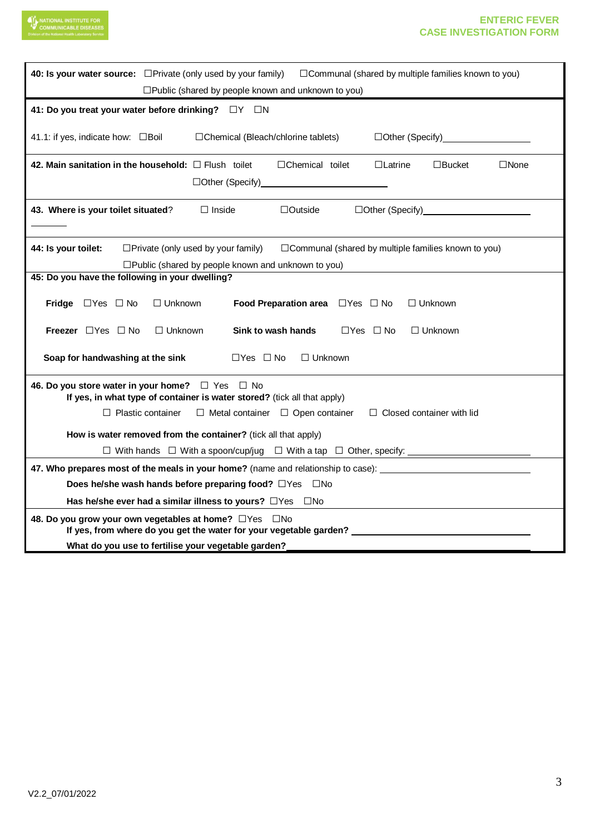

## **ENTERIC FEVER CASE INVESTIGATION FORM**

| 40: Is your water source: <b>OPrivate</b> (only used by your family)<br>$\Box$ Communal (shared by multiple families known to you)<br>$\square$ Public (shared by people known and unknown to you)                                                       |  |  |  |  |  |  |  |
|----------------------------------------------------------------------------------------------------------------------------------------------------------------------------------------------------------------------------------------------------------|--|--|--|--|--|--|--|
| 41: Do you treat your water before drinking? $\square Y \square N$                                                                                                                                                                                       |  |  |  |  |  |  |  |
| 41.1: if yes, indicate how: □Boil<br>□Chemical (Bleach/chlorine tablets)<br>□Other (Specify)____________________                                                                                                                                         |  |  |  |  |  |  |  |
| 42. Main sanitation in the household: $\Box$ Flush toilet<br>$\Box$ Chemical toilet<br>$\Box$ Latrine<br>$\square$ Bucket<br>$\Box$ None                                                                                                                 |  |  |  |  |  |  |  |
| $\Box$ Inside<br>43. Where is your toilet situated?<br>$\Box$ Outside                                                                                                                                                                                    |  |  |  |  |  |  |  |
| 44: Is your toilet:<br>$\Box$ Private (only used by your family)<br>□ Communal (shared by multiple families known to you)<br>$\square$ Public (shared by people known and unknown to you)                                                                |  |  |  |  |  |  |  |
| 45: Do you have the following in your dwelling?                                                                                                                                                                                                          |  |  |  |  |  |  |  |
| Food Preparation area □ Yes □ No<br>Fridge $\Box$ Yes $\Box$ No<br>$\Box$ Unknown<br>$\Box$ Unknown                                                                                                                                                      |  |  |  |  |  |  |  |
| <b>Freezer</b> $\Box$ Yes $\Box$ No<br>$\Box$ Unknown<br>Sink to wash hands<br>$\Box$ Yes $\Box$ No<br>$\Box$ Unknown                                                                                                                                    |  |  |  |  |  |  |  |
| Soap for handwashing at the sink<br>$\Box$ Yes $\Box$ No<br>$\Box$ Unknown                                                                                                                                                                               |  |  |  |  |  |  |  |
| 46. Do you store water in your home?<br>$\Box$ Yes $\Box$ No<br>If yes, in what type of container is water stored? (tick all that apply)<br>$\Box$ Plastic container<br>$\Box$ Metal container $\Box$ Open container<br>$\Box$ Closed container with lid |  |  |  |  |  |  |  |
| How is water removed from the container? (tick all that apply)                                                                                                                                                                                           |  |  |  |  |  |  |  |
|                                                                                                                                                                                                                                                          |  |  |  |  |  |  |  |
| 47. Who prepares most of the meals in your home? (name and relationship to case):                                                                                                                                                                        |  |  |  |  |  |  |  |
| Does he/she wash hands before preparing food? □ Yes □ No                                                                                                                                                                                                 |  |  |  |  |  |  |  |
| Has he/she ever had a similar illness to yours? $\Box$ Yes $\Box$ No                                                                                                                                                                                     |  |  |  |  |  |  |  |
| 48. Do you grow your own vegetables at home? □ Yes □ No<br>If yes, from where do you get the water for your vegetable garden?                                                                                                                            |  |  |  |  |  |  |  |
| What do you use to fertilise your vegetable garden?                                                                                                                                                                                                      |  |  |  |  |  |  |  |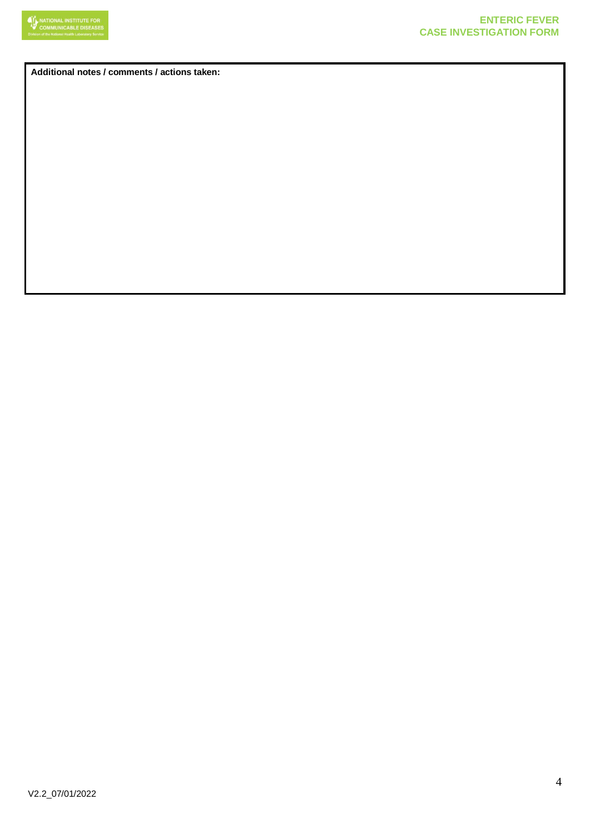

**Additional notes / comments / actions taken:**